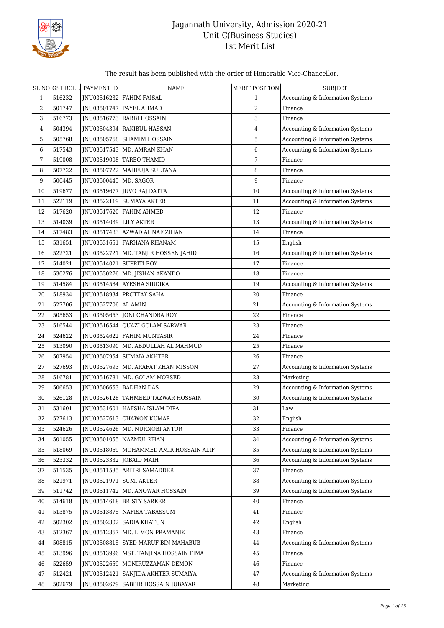

#### The result has been published with the order of Honorable Vice-Chancellor.

|    | SL NO GST ROLL | PAYMENT ID              | <b>NAME</b>                          | MERIT POSITION | <b>SUBJECT</b>                   |
|----|----------------|-------------------------|--------------------------------------|----------------|----------------------------------|
| 1  | 516232         | INU03516232             | <b>FAHIM FAISAL</b>                  | 1              | Accounting & Information Systems |
| 2  | 501747         | JNU03501747             | PAYEL AHMAD                          | 2              | Finance                          |
| 3  | 516773         | JNU03516773             | RABBI HOSSAIN                        | 3              | Finance                          |
| 4  | 504394         | JNU03504394             | <b>RAKIBUL HASSAN</b>                | 4              | Accounting & Information Systems |
| 5  | 505768         |                         | JNU03505768   SHAMIM HOSSAIN         | 5              | Accounting & Information Systems |
| 6  | 517543         |                         | JNU03517543   MD. AMRAN KHAN         | 6              | Accounting & Information Systems |
| 7  | 519008         |                         | JNU03519008   TAREQ THAMID           | 7              | Finance                          |
| 8  | 507722         | JNU03507722             | MAHFUJA SULTANA                      | 8              | Finance                          |
| 9  | 500445         | JNU03500445   MD. SAGOR |                                      | 9              | Finance                          |
| 10 | 519677         | JNU03519677             | <b>JUVO RAJ DATTA</b>                | 10             | Accounting & Information Systems |
| 11 | 522119         | JNU03522119             | SUMAYA AKTER                         | 11             | Accounting & Information Systems |
| 12 | 517620         | JNU03517620             | FAHIM AHMED                          | 12             | Finance                          |
| 13 | 514039         | JNU03514039             | <b>LILY AKTER</b>                    | 13             | Accounting & Information Systems |
| 14 | 517483         | JNU03517483             | AZWAD AHNAF ZIHAN                    | 14             | Finance                          |
| 15 | 531651         | JNU03531651             | FARHANA KHANAM                       | 15             | English                          |
| 16 | 522721         | JNU03522721             | MD. TANJIR HOSSEN JAHID              | 16             | Accounting & Information Systems |
| 17 | 514021         | JNU03514021             | <b>SUPRITI ROY</b>                   | 17             | Finance                          |
| 18 | 530276         | JNU03530276             | MD. JISHAN AKANDO                    | 18             | Finance                          |
| 19 | 514584         | JNU03514584             | <b>AYESHA SIDDIKA</b>                | 19             | Accounting & Information Systems |
| 20 | 518934         | JNU03518934             | PROTTAY SAHA                         | 20             | Finance                          |
| 21 | 527706         | JNU03527706             | AL AMIN                              | 21             | Accounting & Information Systems |
| 22 | 505653         |                         | JNU03505653 JONI CHANDRA ROY         | 22             | Finance                          |
| 23 | 516544         | JNU03516544             | QUAZI GOLAM SARWAR                   | 23             | Finance                          |
| 24 | 524622         | JNU03524622             | FAHIM MUNTASIR                       | 24             | Finance                          |
| 25 | 513090         | JNU03513090             | MD. ABDULLAH AL MAHMUD               | 25             | Finance                          |
| 26 | 507954         | JNU03507954             | <b>SUMAIA AKHTER</b>                 | 26             | Finance                          |
| 27 | 527693         | JNU03527693             | MD. ARAFAT KHAN MISSON               | 27             | Accounting & Information Systems |
| 28 | 516781         | INU03516781             | MD. GOLAM MORSED                     | 28             | Marketing                        |
| 29 | 506653         |                         | JNU03506653   BADHAN DAS             | 29             | Accounting & Information Systems |
| 30 | 526128         |                         | JNU03526128   TAHMEED TAZWAR HOSSAIN | 30             | Accounting & Information Systems |
| 31 | 531601         |                         | JNU03531601   HAFSHA ISLAM DIPA      | 31             | Law                              |
| 32 | 527613         |                         | JNU03527613 CHAWON KUMAR             | 32             | English                          |
| 33 | 524626         | JNU03524626             | MD. NURNOBI ANTOR                    | 33             | Finance                          |
| 34 | 501055         | JNU03501055             | NAZMUL KHAN                          | 34             | Accounting & Information Systems |
| 35 | 518069         | JNU03518069             | MOHAMMED AMIR HOSSAIN ALIF           | 35             | Accounting & Information Systems |
| 36 | 523332         | JNU03523332             | JOBAID MAIH                          | 36             | Accounting & Information Systems |
| 37 | 511535         | JNU03511535             | ARITRI SAMADDER                      | 37             | Finance                          |
| 38 | 521971         | JNU03521971             | SUMI AKTER                           | 38             | Accounting & Information Systems |
| 39 | 511742         | JNU03511742             | MD. ANOWAR HOSSAIN                   | 39             | Accounting & Information Systems |
| 40 | 514618         |                         | JNU03514618 BRISTY SARKER            | 40             | Finance                          |
| 41 | 513875         | INU03513875             | NAFISA TABASSUM                      | 41             | Finance                          |
| 42 | 502302         | JNU03502302             | <b>SADIA KHATUN</b>                  | 42             | English                          |
| 43 | 512367         | JNU03512367             | MD. LIMON PRAMANIK                   | 43             | Finance                          |
| 44 | 508815         | JNU03508815             | SYED MARUF BIN MAHABUB               | 44             | Accounting & Information Systems |
| 45 | 513996         | JNU03513996             | MST. TANJINA HOSSAIN FIMA            | 45             | Finance                          |
| 46 | 522659         | JNU03522659             | MONIRUZZAMAN DEMON                   | 46             | Finance                          |
| 47 | 512421         | JNU03512421             | SANJIDA AKHTER SUMAIYA               | 47             | Accounting & Information Systems |
| 48 | 502679         | JNU03502679             | SABBIR HOSSAIN JUBAYAR               | 48             | Marketing                        |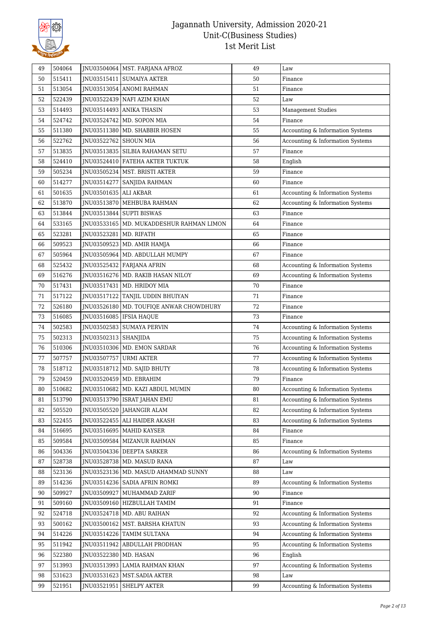

| 49 | 504064 |                       | JNU03504064   MST. FARJANA AFROZ | 49 | Law                              |
|----|--------|-----------------------|----------------------------------|----|----------------------------------|
| 50 | 515411 | JNU03515411           | <b>SUMAIYA AKTER</b>             | 50 | Finance                          |
| 51 | 513054 | JNU03513054           | <b>ANOMI RAHMAN</b>              | 51 | Finance                          |
| 52 | 522439 |                       | JNU03522439 NAFI AZIM KHAN       | 52 | Law                              |
| 53 | 514493 |                       | JNU03514493 ANIKA THASIN         | 53 | <b>Management Studies</b>        |
| 54 | 524742 | JNU03524742           | MD. SOPON MIA                    | 54 | Finance                          |
| 55 | 511380 | JNU03511380           | MD. SHABBIR HOSEN                | 55 | Accounting & Information Systems |
| 56 | 522762 | JNU03522762           | <b>SHOUN MIA</b>                 | 56 | Accounting & Information Systems |
| 57 | 513835 | JNU03513835           | SILBIA RAHAMAN SETU              | 57 | Finance                          |
| 58 | 524410 | JNU03524410           | FATEHA AKTER TUKTUK              | 58 | English                          |
| 59 | 505234 |                       | JNU03505234   MST. BRISTI AKTER  | 59 | Finance                          |
| 60 | 514277 | JNU03514277           | SANJIDA RAHMAN                   | 60 | Finance                          |
| 61 | 501635 | JNU03501635 ALI AKBAR |                                  | 61 | Accounting & Information Systems |
| 62 | 513870 | JNU03513870           | MEHBUBA RAHMAN                   | 62 | Accounting & Information Systems |
| 63 | 513844 | JNU03513844           | <b>SUPTI BISWAS</b>              | 63 | Finance                          |
| 64 | 533165 | JNU03533165           | MD. MUKADDESHUR RAHMAN LIMON     | 64 | Finance                          |
| 65 | 523281 | INU03523281           | MD. RIFATH                       | 65 | Finance                          |
| 66 | 509523 | JNU03509523           | MD. AMIR HAMJA                   | 66 | Finance                          |
| 67 | 505964 | JNU03505964           | MD. ABDULLAH MUMPY               | 67 | Finance                          |
| 68 | 525432 |                       | JNU03525432   FARJANA AFRIN      | 68 | Accounting & Information Systems |
| 69 | 516276 | JNU03516276           | MD. RAKIB HASAN NILOY            | 69 | Accounting & Information Systems |
| 70 | 517431 | JNU03517431           | MD. HRIDOY MIA                   | 70 | Finance                          |
| 71 | 517122 | JNU03517122           | TANJIL UDDIN BHUIYAN             | 71 | Finance                          |
| 72 | 526180 | JNU03526180           | MD. TOUFIQE ANWAR CHOWDHURY      | 72 | Finance                          |
| 73 | 516085 | JNU03516085           | <b>IFSIA HAQUE</b>               | 73 | Finance                          |
| 74 | 502583 | JNU03502583           | <b>SUMAYA PERVIN</b>             | 74 | Accounting & Information Systems |
| 75 | 502313 | JNU03502313           | <b>SHANJIDA</b>                  | 75 | Accounting & Information Systems |
| 76 | 510306 |                       | JNU03510306   MD. EMON SARDAR    | 76 | Accounting & Information Systems |
| 77 | 507757 | JNU03507757           | URMI AKTER                       | 77 | Accounting & Information Systems |
| 78 | 518712 | JNU03518712           | MD. SAJID BHUTY                  | 78 | Accounting & Information Systems |
| 79 | 520459 |                       | JNU03520459   MD. EBRAHIM        | 79 | Finance                          |
| 80 | 510682 | JNU03510682           | MD. KAZI ABDUL MUMIN             | 80 | Accounting & Information Systems |
| 81 | 513790 |                       | JNU03513790   ISRAT JAHAN EMU    | 81 | Accounting & Information Systems |
| 82 | 505520 | JNU03505520           | <b>JAHANGIR ALAM</b>             | 82 | Accounting & Information Systems |
| 83 | 522455 | JNU03522455           | <b>ALI HAIDER AKASH</b>          | 83 | Accounting & Information Systems |
| 84 | 516695 | JNU03516695           | MAHID KAYSER                     | 84 | Finance                          |
| 85 | 509584 | JNU03509584           | MIZANUR RAHMAN                   | 85 | Finance                          |
| 86 | 504336 | JNU03504336           | <b>DEEPTA SARKER</b>             | 86 | Accounting & Information Systems |
| 87 | 528738 |                       | JNU03528738   MD. MASUD RANA     | 87 | Law                              |
| 88 | 523136 | JNU03523136           | MD. MASUD AHAMMAD SUNNY          | 88 | Law                              |
| 89 | 514236 | JNU03514236           | SADIA AFRIN ROMKI                | 89 | Accounting & Information Systems |
| 90 | 509927 | INU03509927           | MUHAMMAD ZARIF                   | 90 | Finance                          |
| 91 | 509160 | JNU03509160           | HIZBULLAH TAMIM                  | 91 | Finance                          |
| 92 | 524718 |                       | JNU03524718   MD. ABU RAIHAN     | 92 | Accounting & Information Systems |
| 93 | 500162 | JNU03500162           | MST. BARSHA KHATUN               | 93 | Accounting & Information Systems |
| 94 | 514226 | JNU03514226           | TAMIM SULTANA                    | 94 | Accounting & Information Systems |
| 95 | 511942 | JNU03511942           | ABDULLAH PRODHAN                 | 95 | Accounting & Information Systems |
| 96 | 522380 | JNU03522380           | MD. HASAN                        | 96 | English                          |
| 97 | 513993 | JNU03513993           | LAMIA RAHMAN KHAN                | 97 | Accounting & Information Systems |
| 98 | 531623 | JNU03531623           | MST.SADIA AKTER                  | 98 | Law                              |
| 99 | 521951 | JNU03521951           | SHELPY AKTER                     | 99 | Accounting & Information Systems |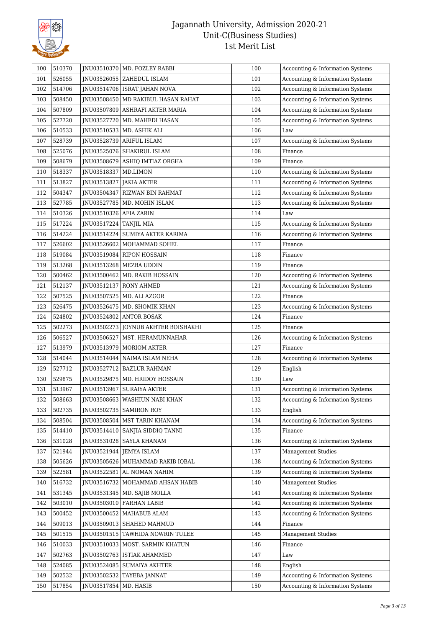

| 100 | 510370 |                          | JNU03510370   MD. FOZLEY RABBI       | 100 | Accounting & Information Systems |
|-----|--------|--------------------------|--------------------------------------|-----|----------------------------------|
| 101 | 526055 |                          | JNU03526055   ZAHEDUL ISLAM          | 101 | Accounting & Information Systems |
| 102 | 514706 |                          | JNU03514706   ISRAT JAHAN NOVA       | 102 | Accounting & Information Systems |
| 103 | 508450 |                          | JNU03508450   MD RAKIBUL HASAN RAHAT | 103 | Accounting & Information Systems |
| 104 | 507809 |                          | JNU03507809 ASHRAFI AKTER MARIA      | 104 | Accounting & Information Systems |
| 105 | 527720 | JNU03527720              | MD. MAHEDI HASAN                     | 105 | Accounting & Information Systems |
| 106 | 510533 | JNU03510533              | MD. ASHIK ALI                        | 106 | Law                              |
| 107 | 528739 | JNU03528739              | <b>ARIFUL ISLAM</b>                  | 107 | Accounting & Information Systems |
| 108 | 525076 |                          | JNU03525076   SHAKIRUL ISLAM         | 108 | Finance                          |
| 109 | 508679 | JNU03508679              | ASHIQ IMTIAZ ORGHA                   | 109 | Finance                          |
| 110 | 518337 | JNU03518337              | MD.LIMON                             | 110 | Accounting & Information Systems |
| 111 | 513827 | JNU03513827  JAKIA AKTER |                                      | 111 | Accounting & Information Systems |
| 112 | 504347 | JNU03504347              | RIZWAN BIN RAHMAT                    | 112 | Accounting & Information Systems |
| 113 | 527785 | JNU03527785              | MD. MOHIN ISLAM                      | 113 | Accounting & Information Systems |
| 114 | 510326 | JNU03510326 AFIA ZARIN   |                                      | 114 | Law                              |
| 115 | 517224 | JNU03517224              | <b>TANJIL MIA</b>                    | 115 | Accounting & Information Systems |
| 116 | 514224 | JNU03514224              | SUMIYA AKTER KARIMA                  | 116 | Accounting & Information Systems |
| 117 | 526602 | JNU03526602              | MOHAMMAD SOHEL                       | 117 | Finance                          |
| 118 | 519084 |                          | JNU03519084 RIPON HOSSAIN            | 118 | Finance                          |
| 119 | 513268 |                          | JNU03513268   MEZBA UDDIN            | 119 | Finance                          |
| 120 | 500462 |                          | INU03500462 MD. RAKIB HOSSAIN        | 120 | Accounting & Information Systems |
| 121 | 512137 | JNU03512137              | RONY AHMED                           | 121 | Accounting & Information Systems |
| 122 | 507525 |                          | JNU03507525   MD. ALI AZGOR          | 122 | Finance                          |
| 123 | 526475 |                          | JNU03526475   MD. SHOMIK KHAN        | 123 | Accounting & Information Systems |
| 124 | 524802 | JNU03524802              | ANTOR BOSAK                          | 124 | Finance                          |
| 125 | 502273 | JNU03502273              | JOYNUB AKHTER BOISHAKHI              | 125 | Finance                          |
| 126 | 506527 | JNU03506527              | MST. HERAMUNNAHAR                    | 126 | Accounting & Information Systems |
| 127 | 513979 |                          | JNU03513979   MORIOM AKTER           | 127 | Finance                          |
| 128 | 514044 | JNU03514044              | NAIMA ISLAM NEHA                     | 128 | Accounting & Information Systems |
| 129 | 527712 | JNU03527712              | <b>BAZLUR RAHMAN</b>                 | 129 | English                          |
| 130 | 529875 |                          | JNU03529875   MD. HRIDOY HOSSAIN     | 130 | Law                              |
| 131 | 513967 | JNU03513967              | <b>SURAIYA AKTER</b>                 | 131 | Accounting & Information Systems |
| 132 | 508663 |                          | JNU03508663   WASHIUN NABI KHAN      | 132 | Accounting & Information Systems |
| 133 | 502735 | JNU03502735              | <b>SAMIRON ROY</b>                   | 133 | English                          |
| 134 | 508504 | JNU03508504              | MST TARIN KHANAM                     | 134 | Accounting & Information Systems |
| 135 | 514410 | JNU03514410              | SANJIA SIDDIQ TANNI                  | 135 | Finance                          |
| 136 | 531028 | JNU03531028              | SAYLA KHANAM                         | 136 | Accounting & Information Systems |
| 137 | 521944 |                          | JNU03521944   JEMYA ISLAM            | 137 | <b>Management Studies</b>        |
| 138 | 505626 | JNU03505626              | MUHAMMAD RAKIB IOBAL                 | 138 | Accounting & Information Systems |
| 139 | 522581 | JNU03522581              | AL NOMAN NAHIM                       | 139 | Accounting & Information Systems |
| 140 | 516732 | JNU03516732              | MOHAMMAD AHSAN HABIB                 | 140 | <b>Management Studies</b>        |
| 141 | 531345 | JNU03531345              | MD. SAJIB MOLLA                      | 141 | Accounting & Information Systems |
| 142 | 503010 |                          | JNU03503010 FARHAN LABIB             | 142 | Accounting & Information Systems |
| 143 | 500452 |                          | JNU03500452   MAHABUB ALAM           | 143 | Accounting & Information Systems |
| 144 | 509013 | JNU03509013              | SHAHED MAHMUD                        | 144 | Finance                          |
| 145 | 501515 | JNU03501515              | TAWHIDA NOWRIN TULEE                 | 145 | Management Studies               |
| 146 | 510033 |                          | JNU03510033   MOST. SARMIN KHATUN    | 146 | Finance                          |
| 147 | 502763 | JNU03502763              | <b>ISTIAK AHAMMED</b>                | 147 | Law                              |
| 148 | 524085 | JNU03524085              | SUMAIYA AKHTER                       | 148 | English                          |
| 149 | 502532 | JNU03502532              | TAYEBA JANNAT                        | 149 | Accounting & Information Systems |
| 150 | 517854 | JNU03517854              | MD. HASIB                            | 150 | Accounting & Information Systems |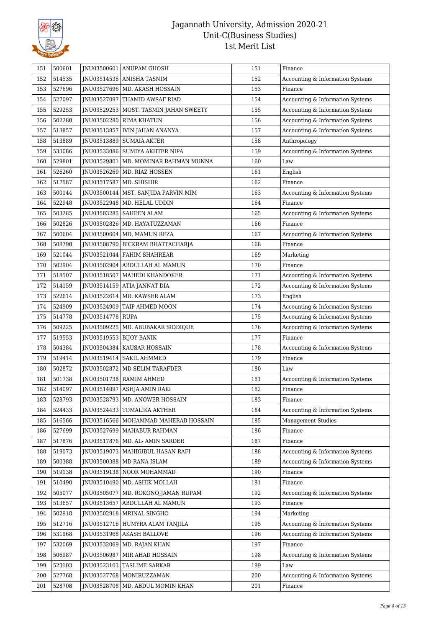

| 151 | 500601 |             | INU03500601 ANUPAM GHOSH        | 151 | Finance                                |
|-----|--------|-------------|---------------------------------|-----|----------------------------------------|
| 152 | 514535 |             | JNU03514535 ANISHA TASNIM       | 152 | Accounting & Information Systems       |
| 153 | 527696 |             | JNU03527696   MD. AKASH HOSSAIN | 153 | Finance                                |
| 154 | 527097 | JNU03527097 | THAMID AWSAF RIAD               | 154 | Accounting & Information Systems       |
| 155 | 529253 | JNU03529253 | MOST. TASMIN JAHAN SWEETY       | 155 | Accounting & Information Systems       |
| 156 | 502280 | JNU03502280 | <b>RIMA KHATUN</b>              | 156 | Accounting & Information Systems       |
| 157 | 513857 | JNU03513857 | <b>IVIN JAHAN ANANYA</b>        | 157 | Accounting & Information Systems       |
| 158 | 513889 | JNU03513889 | <b>SUMAIA AKTER</b>             | 158 | Anthropology                           |
| 159 | 533086 | JNU03533086 | SUMIYA AKHTER NIPA              | 159 | Accounting & Information Systems       |
| 160 | 529801 | JNU03529801 | MD. MOMINAR RAHMAN MUNNA        | 160 | Law                                    |
| 161 | 526260 | JNU03526260 | MD. RIAZ HOSSEN                 | 161 | English                                |
| 162 | 517587 | JNU03517587 | MD. SHISHIR                     | 162 | Finance                                |
| 163 | 500144 | JNU03500144 | MST. SANJIDA PARVIN MIM         | 163 | Accounting & Information Systems       |
| 164 | 522948 | JNU03522948 | MD. HELAL UDDIN                 | 164 | Finance                                |
| 165 | 503285 | JNU03503285 | <b>SAHEEN ALAM</b>              | 165 | Accounting & Information Systems       |
| 166 | 502826 | JNU03502826 | MD. HAYATUZZAMAN                | 166 | Finance                                |
| 167 | 500604 | JNU03500604 | MD. MAMUN REZA                  | 167 | Accounting & Information Systems       |
| 168 | 508790 | JNU03508790 | BICKRAM BHATTACHARJA            | 168 | Finance                                |
| 169 | 521044 | JNU03521044 | FAHIM SHAHREAR                  | 169 | Marketing                              |
| 170 | 502904 | JNU03502904 | ABDULLAH AL MAMUN               | 170 | Finance                                |
| 171 | 518507 | JNU03518507 | MAHEDI KHANDOKER                | 171 | Accounting & Information Systems       |
| 172 | 514159 | JNU03514159 | ATIA JANNAT DIA                 | 172 | Accounting & Information Systems       |
| 173 | 522614 | JNU03522614 | MD. KAWSER ALAM                 | 173 | English                                |
| 174 | 524909 | JNU03524909 | TAIP AHMED MOON                 | 174 | Accounting & Information Systems       |
| 175 | 514778 | JNU03514778 | <b>RUPA</b>                     | 175 | Accounting & Information Systems       |
| 176 | 509225 | JNU03509225 | MD. ABUBAKAR SIDDIQUE           | 176 | Accounting & Information Systems       |
| 177 | 519553 | JNU03519553 | <b>BIJOY BANIK</b>              | 177 | Finance                                |
| 178 | 504384 | JNU03504384 | KAUSAR HOSSAIN                  | 178 | Accounting & Information Systems       |
| 179 | 519414 | JNU03519414 | <b>SAKIL AHMMED</b>             | 179 | Finance                                |
| 180 | 502872 | JNU03502872 | MD SELIM TARAFDER               | 180 | Law                                    |
| 181 | 501738 | JNU03501738 | RAMIM AHMED                     | 181 | Accounting & Information Systems       |
| 182 | 514097 |             | JNU03514097 ASHJA AMIN RAKI     | 182 | Finance                                |
| 183 | 528793 |             | JNU03528793 MD. ANOWER HOSSAIN  | 183 | $\ensuremath{\mathsf{Finance}}\xspace$ |
| 184 | 524433 | JNU03524433 | TOMALIKA AKTHER                 | 184 | Accounting & Information Systems       |
| 185 | 516566 | JNU03516566 | MOHAMMAD MAHERAB HOSSAIN        | 185 | <b>Management Studies</b>              |
| 186 | 527699 | JNU03527699 | MAHABUR RAHMAN                  | 186 | Finance                                |
| 187 | 517876 | JNU03517876 | MD. AL- AMIN SARDER             | 187 | Finance                                |
| 188 | 519073 | JNU03519073 | MAHBUBUL HASAN RAFI             | 188 | Accounting & Information Systems       |
| 189 | 500388 | JNU03500388 | MD RANA ISLAM                   | 189 | Accounting & Information Systems       |
| 190 | 519138 | JNU03519138 | NOOR MOHAMMAD                   | 190 | Finance                                |
| 191 | 510490 | JNU03510490 | MD. ASHIK MOLLAH                | 191 | Finance                                |
| 192 | 505077 | JNU03505077 | MD. ROKONOJJAMAN RUPAM          | 192 | Accounting & Information Systems       |
| 193 | 513657 | JNU03513657 | ABDULLAH AL MAMUN               | 193 | Finance                                |
| 194 | 502918 | JNU03502918 | MRINAL SINGHO                   | 194 | Marketing                              |
| 195 | 512716 |             | JNU03512716 HUMYRA ALAM TANJILA | 195 | Accounting & Information Systems       |
| 196 | 531968 | JNU03531968 | AKASH BALLOVE                   | 196 | Accounting & Information Systems       |
| 197 | 532069 | JNU03532069 | MD. RAJAN KHAN                  | 197 | Finance                                |
| 198 | 506987 | JNU03506987 | MIR AHAD HOSSAIN                | 198 | Accounting & Information Systems       |
| 199 | 523103 | JNU03523103 | TASLIME SARKAR                  | 199 | Law                                    |
| 200 | 527768 | JNU03527768 | MONIRUZZAMAN                    | 200 | Accounting & Information Systems       |
| 201 | 528708 | JNU03528708 | MD. ABDUL MOMIN KHAN            | 201 | Finance                                |
|     |        |             |                                 |     |                                        |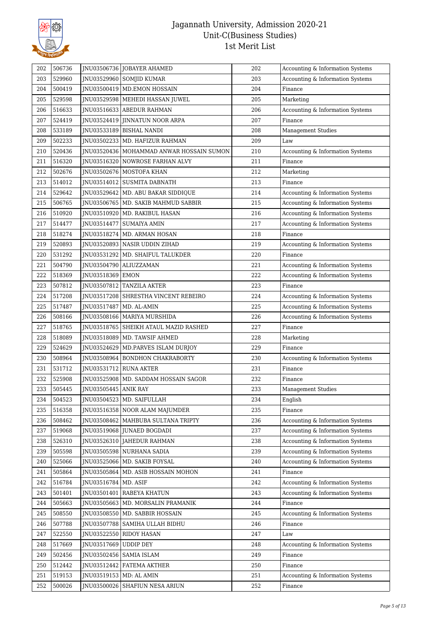

| 202 | 506736 |             | JNU03506736 JOBAYER AHAMED                 | 202 | Accounting & Information Systems |
|-----|--------|-------------|--------------------------------------------|-----|----------------------------------|
| 203 | 529960 | JNU03529960 | <b>SOMJID KUMAR</b>                        | 203 | Accounting & Information Systems |
| 204 | 500419 | JNU03500419 | <b>MD.EMON HOSSAIN</b>                     | 204 | Finance                          |
| 205 | 529598 | JNU03529598 | MEHEDI HASSAN JUWEL                        | 205 | Marketing                        |
| 206 | 516633 | JNU03516633 | <b>ABEDUR RAHMAN</b>                       | 206 | Accounting & Information Systems |
| 207 | 524419 | JNU03524419 | JINNATUN NOOR ARPA                         | 207 | Finance                          |
| 208 | 533189 | JNU03533189 | <b>BISHAL NANDI</b>                        | 208 | <b>Management Studies</b>        |
| 209 | 502233 | INU03502233 | MD. HAFIZUR RAHMAN                         | 209 | Law                              |
| 210 | 520436 |             | INU03520436   MOHAMMAD ANWAR HOSSAIN SUMON | 210 | Accounting & Information Systems |
| 211 | 516320 | JNU03516320 | NOWROSE FARHAN ALVY                        | 211 | Finance                          |
| 212 | 502676 | INU03502676 | MOSTOFA KHAN                               | 212 | Marketing                        |
| 213 | 514012 | JNU03514012 | <b>SUSMITA DABNATH</b>                     | 213 | Finance                          |
| 214 | 529642 | JNU03529642 | MD. ABU BAKAR SIDDIQUE                     | 214 | Accounting & Information Systems |
| 215 | 506765 | JNU03506765 | MD. SAKIB MAHMUD SABBIR                    | 215 | Accounting & Information Systems |
| 216 | 510920 | JNU03510920 | MD. RAKIBUL HASAN                          | 216 | Accounting & Information Systems |
| 217 | 514477 | INU03514477 | <b>SUMAIYA AMIN</b>                        | 217 | Accounting & Information Systems |
| 218 | 518274 | JNU03518274 | MD. ARMAN HOSAN                            | 218 | Finance                          |
| 219 | 520893 | JNU03520893 | NASIR UDDIN ZIHAD                          | 219 | Accounting & Information Systems |
| 220 | 531292 | JNU03531292 | MD. SHAIFUL TALUKDER                       | 220 | Finance                          |
| 221 | 504790 |             | JNU03504790   ALIUZZAMAN                   | 221 | Accounting & Information Systems |
| 222 | 518369 | JNU03518369 | <b>EMON</b>                                | 222 | Accounting & Information Systems |
| 223 | 507812 | JNU03507812 | <b>TANZILA AKTER</b>                       | 223 | Finance                          |
| 224 | 517208 | JNU03517208 | SHRESTHA VINCENT REBEIRO                   | 224 | Accounting & Information Systems |
| 225 | 517487 | JNU03517487 | MD. AL-AMIN                                | 225 | Accounting & Information Systems |
| 226 | 508166 |             | JNU03508166   MARIYA MURSHIDA              | 226 | Accounting & Information Systems |
| 227 | 518765 | JNU03518765 | SHEIKH ATAUL MAZID RASHED                  | 227 | Finance                          |
|     |        |             |                                            |     |                                  |
| 228 | 518089 | JNU03518089 | MD. TAWSIF AHMED                           | 228 |                                  |
| 229 | 524629 |             | JNU03524629   MD.PARVES ISLAM DURJOY       | 229 | Marketing<br>Finance             |
| 230 | 508964 | JNU03508964 | <b>BONDHON CHAKRABORTY</b>                 | 230 | Accounting & Information Systems |
| 231 | 531712 | JNU03531712 | <b>RUNA AKTER</b>                          | 231 | Finance                          |
| 232 | 525908 | JNU03525908 | MD. SADDAM HOSSAIN SAGOR                   | 232 | Finance                          |
| 233 | 505445 | JNU03505445 | <b>ANIK RAY</b>                            | 233 | Management Studies               |
| 234 | 504523 |             | JNU03504523 MD. SAIFULLAH                  | 234 | English                          |
| 235 | 516358 | JNU03516358 | NOOR ALAM MAJUMDER                         | 235 | Finance                          |
| 236 | 508462 | JNU03508462 | MAHBUBA SULTANA TRIPTY                     | 236 | Accounting & Information Systems |
| 237 | 519068 |             | JNU03519068 JUNAED BOGDADI                 | 237 | Accounting & Information Systems |
| 238 | 526310 | JNU03526310 | JAHEDUR RAHMAN                             | 238 | Accounting & Information Systems |
| 239 | 505598 | JNU03505598 | NURHANA SADIA                              | 239 | Accounting & Information Systems |
| 240 | 525066 | JNU03525066 | MD. SAKIB FOYSAL                           | 240 | Accounting & Information Systems |
| 241 | 505864 | JNU03505864 | MD. ASIB HOSSAIN MOHON                     | 241 | Finance                          |
| 242 | 516784 | JNU03516784 | MD. ASIF                                   | 242 | Accounting & Information Systems |
| 243 | 501401 | INU03501401 | RABEYA KHATUN                              | 243 | Accounting & Information Systems |
| 244 | 505663 | JNU03505663 | MD. MORSALIN PRAMANIK                      | 244 | Finance                          |
| 245 | 508550 |             | JNU03508550   MD. SABBIR HOSSAIN           | 245 | Accounting & Information Systems |
| 246 | 507788 | JNU03507788 | SAMIHA ULLAH BIDHU                         | 246 | Finance                          |
| 247 | 522550 | JNU03522550 | <b>RIDOY HASAN</b>                         | 247 | Law                              |
| 248 | 517669 | JNU03517669 | <b>UDDIP DEY</b>                           | 248 | Accounting & Information Systems |
| 249 | 502456 | JNU03502456 | SAMIA ISLAM                                | 249 | Finance                          |
| 250 | 512442 | JNU03512442 | FATEMA AKTHER                              | 250 | Finance                          |
| 251 | 519153 | JNU03519153 | MD: AL AMIN                                | 251 | Accounting & Information Systems |
| 252 | 500026 | JNU03500026 | SHAFIUN NESA ARIUN                         | 252 | Finance                          |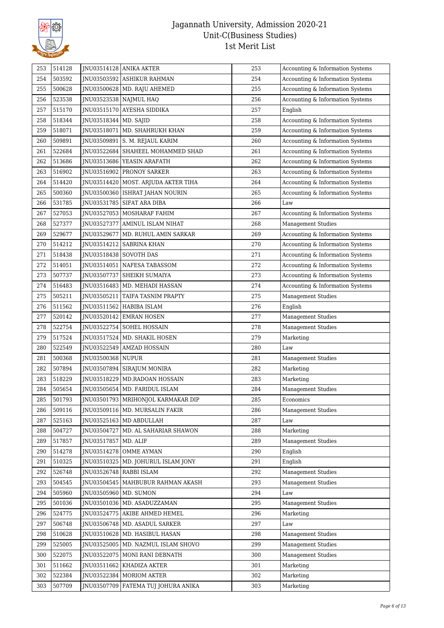

| 253 | 514128 |                         | JNU03514128 ANIKA AKTER               | 253 | Accounting & Information Systems |
|-----|--------|-------------------------|---------------------------------------|-----|----------------------------------|
| 254 | 503592 |                         | JNU03503592 ASHIKUR RAHMAN            | 254 | Accounting & Information Systems |
| 255 | 500628 |                         | JNU03500628   MD. RAJU AHEMED         | 255 | Accounting & Information Systems |
| 256 | 523538 |                         | JNU03523538   NAJMUL HAQ              | 256 | Accounting & Information Systems |
| 257 | 515170 |                         | JNU03515170 AYESHA SIDDIKA            | 257 | English                          |
| 258 | 518344 | JNU03518344   MD. SAJID |                                       | 258 | Accounting & Information Systems |
| 259 | 518071 | JNU03518071             | MD. SHAHRUKH KHAN                     | 259 | Accounting & Information Systems |
| 260 | 509891 | JNU03509891             | S. M. REJAUL KARIM                    | 260 | Accounting & Information Systems |
| 261 | 522684 |                         | JNU03522684 SHAHEEL MOHAMMED SHAD     | 261 | Accounting & Information Systems |
| 262 | 513686 |                         | JNU03513686   YEASIN ARAFATH          | 262 | Accounting & Information Systems |
| 263 | 516902 |                         | JNU03516902 PRONOY SARKER             | 263 | Accounting & Information Systems |
| 264 | 514420 |                         | JNU03514420   MOST. ARJUDA AKTER TIHA | 264 | Accounting & Information Systems |
| 265 | 500360 |                         | JNU03500360   ISHRAT JAHAN NOURIN     | 265 | Accounting & Information Systems |
| 266 | 531785 |                         | JNU03531785 SIFAT ARA DIBA            | 266 | Law                              |
| 267 | 527053 |                         | JNU03527053   MOSHARAF FAHIM          | 267 | Accounting & Information Systems |
| 268 | 527377 | JNU03527377             | AMINUL ISLAM NIHAT                    | 268 | <b>Management Studies</b>        |
| 269 | 529677 | JNU03529677             | MD. RUHUL AMIN SARKAR                 | 269 | Accounting & Information Systems |
| 270 | 514212 | JNU03514212             | <b>SABRINA KHAN</b>                   | 270 | Accounting & Information Systems |
| 271 | 518438 | JNU03518438 SOVOTH DAS  |                                       | 271 | Accounting & Information Systems |
| 272 | 514051 | JNU03514051             | NAFESA TABASSOM                       | 272 | Accounting & Information Systems |
| 273 | 507737 | JNU03507737             | SHEIKH SUMAIYA                        | 273 | Accounting & Information Systems |
| 274 | 516483 |                         | JNU03516483   MD. MEHADI HASSAN       | 274 | Accounting & Information Systems |
| 275 | 505211 | JNU03505211             | TAIFA TASNIM PRAPTY                   | 275 | <b>Management Studies</b>        |
| 276 | 511562 | JNU03511562             | HABIBA ISLAM                          | 276 | English                          |
| 277 | 520142 |                         | JNU03520142 EMRAN HOSEN               | 277 | <b>Management Studies</b>        |
| 278 | 522754 |                         | JNU03522754   SOHEL HOSSAIN           | 278 | <b>Management Studies</b>        |
| 279 | 517524 | JNU03517524             | MD. SHAKIL HOSEN                      | 279 | Marketing                        |
| 280 | 522549 |                         | JNU03522549   AMZAD HOSSAIN           | 280 | Law                              |
| 281 | 500368 | JNU03500368 NUPUR       |                                       | 281 | <b>Management Studies</b>        |
| 282 | 507894 |                         | JNU03507894 SIRAJUM MONIRA            | 282 | Marketing                        |
| 283 | 518229 |                         | JNU03518229   MD.RADOAN HOSSAIN       | 283 | Marketing                        |
| 284 | 505654 |                         | JNU03505654   MD. FARIDUL ISLAM       | 284 | <b>Management Studies</b>        |
| 285 | 501793 |                         | JNU03501793   MRIHONJOL KARMAKAR DIP  | 285 | Economics                        |
| 286 | 509116 |                         | JNU03509116   MD. MURSALIN FAKIR      | 286 | Management Studies               |
| 287 | 525163 |                         | JNU03525163   MD ABDULLAH             | 287 | Law                              |
| 288 | 504727 | INU03504727             | MD. AL SAHARIAR SHAWON                | 288 | Marketing                        |
| 289 | 517857 | JNU03517857 MD. ALIF    |                                       | 289 | <b>Management Studies</b>        |
| 290 | 514278 |                         | JNU03514278 OMME AYMAN                | 290 | English                          |
| 291 | 510325 | JNU03510325             | MD. JOHURUL ISLAM JONY                | 291 | English                          |
| 292 | 526748 |                         | JNU03526748 RABBI ISLAM               | 292 | <b>Management Studies</b>        |
| 293 | 504545 |                         | JNU03504545   MAHBUBUR RAHMAN AKASH   | 293 | <b>Management Studies</b>        |
| 294 | 505960 | JNU03505960   MD. SUMON |                                       | 294 | Law                              |
| 295 | 501036 |                         | JNU03501036   MD. ASADUZZAMAN         | 295 | <b>Management Studies</b>        |
| 296 | 524775 |                         | JNU03524775 AKIBE AHMED HEMEL         | 296 | Marketing                        |
| 297 | 506748 |                         | JNU03506748   MD. ASADUL SARKER       | 297 | Law                              |
| 298 | 510628 |                         | JNU03510628 MD. HASIBUL HASAN         | 298 | <b>Management Studies</b>        |
| 299 | 525005 |                         | JNU03525005   MD. NAZMUL ISLAM SHOVO  | 299 | <b>Management Studies</b>        |
| 300 | 522075 |                         | JNU03522075   MONI RANI DEBNATH       | 300 | <b>Management Studies</b>        |
| 301 | 511662 |                         | JNU03511662   KHADIZA AKTER           | 301 | Marketing                        |
| 302 | 522384 |                         | JNU03522384 MORIOM AKTER              | 302 | Marketing                        |
| 303 | 507709 |                         | JNU03507709   FATEMA TUJ JOHURA ANIKA | 303 | Marketing                        |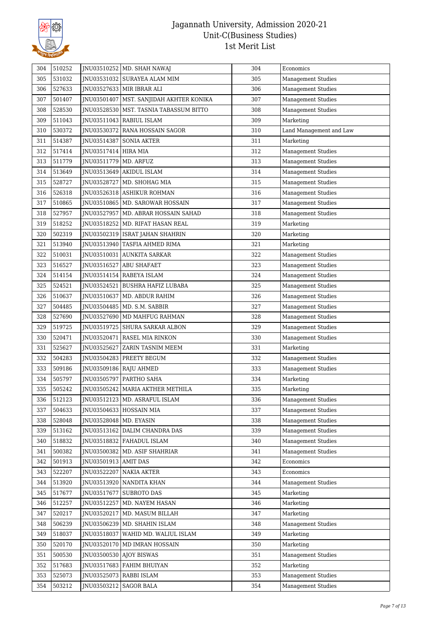

| 304 | 510252 |                          | JNU03510252   MD. SHAH NAWAJ              | 304 | Economics                 |
|-----|--------|--------------------------|-------------------------------------------|-----|---------------------------|
| 305 | 531032 |                          | JNU03531032 SURAYEA ALAM MIM              | 305 | <b>Management Studies</b> |
| 306 | 527633 |                          | JNU03527633   MIR IBRAR ALI               | 306 | <b>Management Studies</b> |
| 307 | 501407 |                          | JNU03501407   MST. SANJIDAH AKHTER KONIKA | 307 | <b>Management Studies</b> |
| 308 | 528530 |                          | JNU03528530   MST. TASNIA TABASSUM BITTO  | 308 | <b>Management Studies</b> |
| 309 | 511043 |                          | JNU03511043   RABIUL ISLAM                | 309 | Marketing                 |
| 310 | 530372 |                          | JNU03530372 RANA HOSSAIN SAGOR            | 310 | Land Management and Law   |
| 311 | 514387 | JNU03514387              | <b>SONIA AKTER</b>                        | 311 | Marketing                 |
| 312 | 517414 | JNU03517414   HIRA MIA   |                                           | 312 | <b>Management Studies</b> |
| 313 | 511779 | JNU03511779              | MD. ARFUZ                                 | 313 | <b>Management Studies</b> |
| 314 | 513649 | JNU03513649              | AKIDUL ISLAM                              | 314 | <b>Management Studies</b> |
| 315 | 528727 |                          | JNU03528727   MD. SHOHAG MIA              | 315 | <b>Management Studies</b> |
| 316 | 526318 | JNU03526318              | ASHIKUR ROHMAN                            | 316 | <b>Management Studies</b> |
| 317 | 510865 |                          | JNU03510865   MD. SAROWAR HOSSAIN         | 317 | <b>Management Studies</b> |
| 318 | 527957 |                          | JNU03527957   MD. ABRAR HOSSAIN SAHAD     | 318 | <b>Management Studies</b> |
| 319 | 518252 |                          | JNU03518252   MD. RIFAT HASAN REAL        | 319 | Marketing                 |
| 320 | 502319 | INU03502319              | ISRAT JAHAN SHAHRIN                       | 320 | Marketing                 |
| 321 | 513940 |                          | JNU03513940 TASFIA AHMED RIMA             | 321 | Marketing                 |
| 322 | 510031 |                          | JNU03510031 AUNKITA SARKAR                | 322 | <b>Management Studies</b> |
| 323 | 516527 | JNU03516527              | <b>ABU SHAFAET</b>                        | 323 | <b>Management Studies</b> |
| 324 | 514154 |                          | JNU03514154   RABEYA ISLAM                | 324 | <b>Management Studies</b> |
| 325 | 524521 |                          | JNU03524521   BUSHRA HAFIZ LUBABA         | 325 | <b>Management Studies</b> |
| 326 | 510637 |                          | JNU03510637   MD. ABDUR RAHIM             | 326 | <b>Management Studies</b> |
| 327 | 504485 |                          | JNU03504485   MD. S.M. SABBIR             | 327 | <b>Management Studies</b> |
| 328 | 527690 |                          | JNU03527690   MD MAHFUG RAHMAN            | 328 | <b>Management Studies</b> |
| 329 | 519725 |                          | JNU03519725   SHURA SARKAR ALBON          | 329 | <b>Management Studies</b> |
| 330 | 520471 | JNU03520471              | <b>RASEL MIA RINKON</b>                   | 330 | <b>Management Studies</b> |
| 331 | 525627 |                          | JNU03525627 ZARIN TASNIM MEEM             | 331 | Marketing                 |
| 332 | 504283 |                          | JNU03504283   PREETY BEGUM                | 332 | <b>Management Studies</b> |
| 333 | 509186 |                          | JNU03509186   RAJU AHMED                  | 333 | <b>Management Studies</b> |
| 334 | 505797 |                          | JNU03505797   PARTHO SAHA                 | 334 | Marketing                 |
| 335 | 505242 |                          | INU03505242   MARIA AKTHER METHILA        | 335 | Marketing                 |
| 336 | 512123 |                          | JNU03512123   MD. ASRAFUL ISLAM           | 336 | Management Studies        |
| 337 | 504633 |                          | JNU03504633 HOSSAIN MIA                   | 337 | <b>Management Studies</b> |
| 338 | 528048 | JNU03528048   MD. EYASIN |                                           | 338 | <b>Management Studies</b> |
| 339 | 513162 |                          | JNU03513162 DALIM CHANDRA DAS             | 339 | <b>Management Studies</b> |
| 340 | 518832 |                          | JNU03518832   FAHADUL ISLAM               | 340 | <b>Management Studies</b> |
| 341 | 500382 | JNU03500382              | MD. ASIF SHAHRIAR                         | 341 | <b>Management Studies</b> |
| 342 | 501913 | JNU03501913 AMIT DAS     |                                           | 342 | Economics                 |
| 343 | 522207 | JNU03522207              | <b>NAKIA AKTER</b>                        | 343 | Economics                 |
| 344 | 513920 |                          | JNU03513920 NANDITA KHAN                  | 344 | <b>Management Studies</b> |
| 345 | 517677 | JNU03517677              | <b>SUBROTO DAS</b>                        | 345 | Marketing                 |
| 346 | 512257 | JNU03512257              | MD. NAYEM HASAN                           | 346 | Marketing                 |
| 347 | 520217 | JNU03520217              | MD. MASUM BILLAH                          | 347 | Marketing                 |
| 348 | 506239 |                          | JNU03506239   MD. SHAHIN ISLAM            | 348 | <b>Management Studies</b> |
| 349 | 518037 | JNU03518037              | WAHID MD. WALIUL ISLAM                    | 349 | Marketing                 |
| 350 | 520170 |                          | JNU03520170   MD IMRAN HOSSAIN            | 350 | Marketing                 |
| 351 | 500530 |                          | JNU03500530 AJOY BISWAS                   | 351 | <b>Management Studies</b> |
| 352 | 517683 | JNU03517683              | FAHIM BHUIYAN                             | 352 | Marketing                 |
| 353 | 525073 |                          | JNU03525073   RABBI ISLAM                 | 353 | Management Studies        |
| 354 | 503212 | JNU03503212              | <b>SAGOR BALA</b>                         | 354 | <b>Management Studies</b> |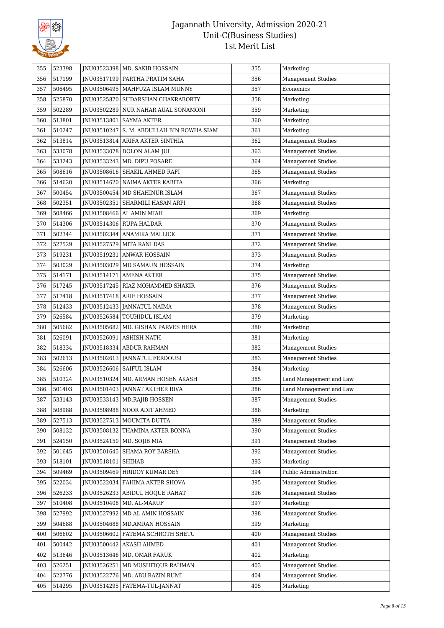

| 355 | 523398 |             | JNU03523398   MD. SAKIB HOSSAIN     | 355 | Marketing                 |
|-----|--------|-------------|-------------------------------------|-----|---------------------------|
| 356 | 517199 |             | JNU03517199   PARTHA PRATIM SAHA    | 356 | Management Studies        |
| 357 | 506495 |             | JNU03506495   MAHFUZA ISLAM MUNNY   | 357 | Economics                 |
| 358 | 525870 |             | JNU03525870   SUDARSHAN CHAKRABORTY | 358 | Marketing                 |
| 359 | 502289 | JNU03502289 | NUR NAHAR AUAL SONAMONI             | 359 | Marketing                 |
| 360 | 513801 |             | JNU03513801   SAYMA AKTER           | 360 | Marketing                 |
| 361 | 510247 | JNU03510247 | S. M. ABDULLAH BIN ROWHA SIAM       | 361 | Marketing                 |
| 362 | 513814 | JNU03513814 | ARIFA AKTER SINTHIA                 | 362 | <b>Management Studies</b> |
| 363 | 533078 |             | JNU03533078   DOLON ALAM JUI        | 363 | Management Studies        |
| 364 | 533243 |             | JNU03533243   MD. DIPU POSARE       | 364 | <b>Management Studies</b> |
| 365 | 508616 |             | JNU03508616   SHAKIL AHMED RAFI     | 365 | <b>Management Studies</b> |
| 366 | 514620 |             | JNU03514620 NAIMA AKTER KABITA      | 366 | Marketing                 |
| 367 | 500454 |             | JNU03500454   MD SHAHINUR ISLAM     | 367 | <b>Management Studies</b> |
| 368 | 502351 | JNU03502351 | SHARMILI HASAN ARPI                 | 368 | <b>Management Studies</b> |
| 369 | 508466 |             | JNU03508466 AL AMIN MIAH            | 369 | Marketing                 |
| 370 | 514306 |             | JNU03514306 RUPA HALDAR             | 370 | <b>Management Studies</b> |
| 371 | 502344 | JNU03502344 | ANAMIKA MALLICK                     | 371 | <b>Management Studies</b> |
| 372 | 527529 | JNU03527529 | <b>MITA RANI DAS</b>                | 372 | <b>Management Studies</b> |
| 373 | 519231 | JNU03519231 | <b>ANWAR HOSSAIN</b>                | 373 | <b>Management Studies</b> |
| 374 | 503029 | JNU03503029 | MD SAMAUN HOSSAIN                   | 374 | Marketing                 |
| 375 | 514171 | JNU03514171 | <b>AMENA AKTER</b>                  | 375 | Management Studies        |
| 376 | 517245 |             | JNU03517245   RIAZ MOHAMMED SHAKIR  | 376 | <b>Management Studies</b> |
| 377 | 517418 | JNU03517418 | ARIF HOSSAIN                        | 377 | <b>Management Studies</b> |
| 378 | 512433 | JNU03512433 | JANNATUL NAIMA                      | 378 | <b>Management Studies</b> |
| 379 | 526584 |             | JNU03526584 TOUHIDUL ISLAM          | 379 | Marketing                 |
| 380 | 505682 | JNU03505682 | MD. GISHAN PARVES HERA              | 380 | Marketing                 |
| 381 | 526091 | JNU03526091 | <b>ASHISH NATH</b>                  | 381 | Marketing                 |
| 382 | 518334 | JNU03518334 | <b>ABDUR RAHMAN</b>                 | 382 | <b>Management Studies</b> |
| 383 | 502613 | JNU03502613 | JANNATUL FERDOUSI                   | 383 | <b>Management Studies</b> |
| 384 | 526606 |             | JNU03526606   SAIFUL ISLAM          | 384 | Marketing                 |
| 385 | 510324 |             | JNU03510324   MD. ARMAN HOSEN AKASH | 385 | Land Management and Law   |
| 386 | 501403 |             | JNU03501403 JANNAT AKTHER RIVA      | 386 | Land Management and Law   |
| 387 | 533143 |             | JNU03533143   MD.RAJIB HOSSEN       | 387 | <b>Management Studies</b> |
| 388 | 508988 | JNU03508988 | NOOR ADIT AHMED                     | 388 | Marketing                 |
| 389 | 527513 |             | JNU03527513 MOUMITA DUTTA           | 389 | <b>Management Studies</b> |
| 390 | 508132 | JNU03508132 | THAMINA AKTER BONNA                 | 390 | <b>Management Studies</b> |
| 391 | 524150 | JNU03524150 | MD. SOJIB MIA                       | 391 | <b>Management Studies</b> |
| 392 | 501645 | JNU03501645 | SHAMA ROY BARSHA                    | 392 | <b>Management Studies</b> |
| 393 | 518101 | JNU03518101 | <b>SHIHAB</b>                       | 393 | Marketing                 |
| 394 | 509469 | INU03509469 | HRIDOY KUMAR DEY                    | 394 | Public Administration     |
| 395 | 522034 |             | JNU03522034 FAHIMA AKTER SHOVA      | 395 | <b>Management Studies</b> |
| 396 | 526233 | JNU03526233 | ABIDUL HOQUE RAHAT                  | 396 | <b>Management Studies</b> |
| 397 | 510408 | JNU03510408 | MD. AL-MARUF                        | 397 | Marketing                 |
| 398 | 527992 | JNU03527992 | MD AL AMIN HOSSAIN                  | 398 | <b>Management Studies</b> |
| 399 | 504688 |             | JNU03504688   MD.AMRAN HOSSAIN      | 399 | Marketing                 |
| 400 | 506602 | JNU03506602 | FATEMA SCHROTH SHETU                | 400 | <b>Management Studies</b> |
| 401 | 500442 | JNU03500442 | <b>AKASH AHMED</b>                  | 401 | <b>Management Studies</b> |
| 402 | 513646 | JNU03513646 | MD. OMAR FARUK                      | 402 | Marketing                 |
| 403 | 526251 | JNU03526251 | MD MUSHFIQUR RAHMAN                 | 403 | Management Studies        |
| 404 | 522776 |             | JNU03522776   MD. ABU RAZIN RUMI    | 404 | <b>Management Studies</b> |
| 405 | 514295 | JNU03514295 | FATEMA-TUL-JANNAT                   | 405 | Marketing                 |
|     |        |             |                                     |     |                           |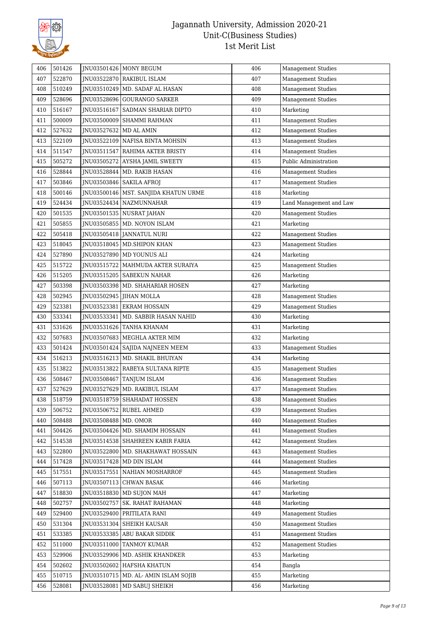

| 406 | 501426 |                          | INU03501426   MONY BEGUM               | 406 | Management Studies        |
|-----|--------|--------------------------|----------------------------------------|-----|---------------------------|
| 407 | 522870 |                          | JNU03522870 RAKIBUL ISLAM              | 407 | <b>Management Studies</b> |
| 408 | 510249 |                          | JNU03510249   MD. SADAF AL HASAN       | 408 | <b>Management Studies</b> |
| 409 | 528696 |                          | JNU03528696 GOURANGO SARKER            | 409 | <b>Management Studies</b> |
| 410 | 516167 |                          | JNU03516167   SADMAN SHARIAR DIPTO     | 410 | Marketing                 |
| 411 | 500009 |                          | JNU03500009 SHAMMI RAHMAN              | 411 | <b>Management Studies</b> |
| 412 | 527632 | JNU03527632   MD AL AMIN |                                        | 412 | <b>Management Studies</b> |
| 413 | 522109 |                          | JNU03522109 NAFISA BINTA MOHSIN        | 413 | <b>Management Studies</b> |
| 414 | 511547 |                          | JNU03511547 RAHIMA AKTER BRISTY        | 414 | <b>Management Studies</b> |
| 415 | 505272 | JNU03505272              | AYSHA JAMIL SWEETY                     | 415 | Public Administration     |
| 416 | 528844 | JNU03528844              | MD. RAKIB HASAN                        | 416 | <b>Management Studies</b> |
| 417 | 503846 |                          | JNU03503846   SAKILA AFROJ             | 417 | <b>Management Studies</b> |
| 418 | 500146 |                          | JNU03500146   MST. SANJIDA KHATUN URME | 418 | Marketing                 |
| 419 | 524434 |                          | JNU03524434   NAZMUNNAHAR              | 419 | Land Management and Law   |
| 420 | 501535 |                          | JNU03501535   NUSRAT JAHAN             | 420 | <b>Management Studies</b> |
| 421 | 505855 | JNU03505855              | MD. NOYON ISLAM                        | 421 | Marketing                 |
| 422 | 505418 |                          | JNU03505418 JANNATUL NURI              | 422 | <b>Management Studies</b> |
| 423 | 518045 |                          | JNU03518045   MD.SHIPON KHAN           | 423 | <b>Management Studies</b> |
| 424 | 527890 |                          | JNU03527890   MD YOUNUS ALI            | 424 | Marketing                 |
| 425 | 515722 | INU03515722              | MAHMUDA AKTER SURAIYA                  | 425 | Management Studies        |
| 426 | 515205 |                          | JNU03515205   SABEKUN NAHAR            | 426 | Marketing                 |
| 427 | 503398 |                          | JNU03503398   MD. SHAHARIAR HOSEN      | 427 | Marketing                 |
| 428 | 502945 |                          | JNU03502945 JIHAN MOLLA                | 428 | <b>Management Studies</b> |
| 429 | 523381 |                          | JNU03523381 EKRAM HOSSAIN              | 429 | <b>Management Studies</b> |
| 430 | 533341 | JNU03533341              | MD. SABBIR HASAN NAHID                 | 430 | Marketing                 |
| 431 | 531626 |                          | JNU03531626 TANHA KHANAM               | 431 | Marketing                 |
| 432 | 507683 |                          | JNU03507683   MEGHLA AKTER MIM         | 432 | Marketing                 |
| 433 | 501424 |                          | JNU03501424   SAJIDA NAJNEEN MEEM      | 433 | <b>Management Studies</b> |
| 434 | 516213 |                          | JNU03516213   MD. SHAKIL BHUIYAN       | 434 | Marketing                 |
| 435 | 513822 | JNU03513822              | RABEYA SULTANA RIPTE                   | 435 | Management Studies        |
| 436 | 508467 |                          | JNU03508467   TANJUM ISLAM             | 436 | <b>Management Studies</b> |
| 437 | 527629 |                          | JNU03527629   MD. RAKIBUL ISLAM        | 437 | <b>Management Studies</b> |
| 438 | 518759 |                          | JNU03518759   SHAHADAT HOSSEN          | 438 | <b>Management Studies</b> |
| 439 | 506752 |                          | JNU03506752 RUBEL AHMED                | 439 | <b>Management Studies</b> |
| 440 | 508488 | JNU03508488   MD. OMOR   |                                        | 440 | <b>Management Studies</b> |
| 441 | 504426 | JNU03504426              | MD. SHAMIM HOSSAIN                     | 441 | <b>Management Studies</b> |
| 442 | 514538 |                          | JNU03514538   SHAHREEN KABIR FARIA     | 442 | Management Studies        |
| 443 | 522800 | JNU03522800              | MD. SHAKHAWAT HOSSAIN                  | 443 | <b>Management Studies</b> |
| 444 | 517428 | JNU03517428              | MD DIN ISLAM                           | 444 | Management Studies        |
| 445 | 517551 |                          | JNU03517551 NAHIAN MOSHARROF           | 445 | Management Studies        |
| 446 | 507113 | JNU03507113              | <b>CHWAN BASAK</b>                     | 446 | Marketing                 |
| 447 | 518830 | JNU03518830              | MD SUJON MAH                           | 447 | Marketing                 |
| 448 | 502757 | JNU03502757              | <b>SK. RAHAT RAHAMAN</b>               | 448 | Marketing                 |
| 449 | 529400 | JNU03529400              | PRITILATA RANI                         | 449 | <b>Management Studies</b> |
| 450 | 531304 |                          | JNU03531304 SHEIKH KAUSAR              | 450 | Management Studies        |
| 451 | 533385 |                          | JNU03533385 ABU BAKAR SIDDIK           | 451 | <b>Management Studies</b> |
| 452 | 511000 |                          | JNU03511000 TANMOY KUMAR               | 452 | <b>Management Studies</b> |
| 453 | 529906 | JNU03529906              | MD. ASHIK KHANDKER                     | 453 | Marketing                 |
| 454 | 502602 | JNU03502602              | HAFSHA KHATUN                          | 454 | Bangla                    |
| 455 | 510715 |                          | JNU03510715   MD. AL- AMIN ISLAM SOJIB | 455 | Marketing                 |
| 456 | 528081 | JNU03528081              | MD SABUJ SHEIKH                        | 456 | Marketing                 |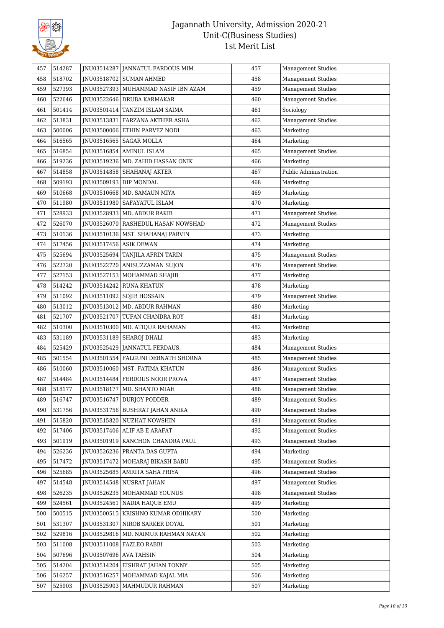

| 457 | 514287 |                        | JNU03514287   JANNATUL FARDOUS MIM    | 457 | <b>Management Studies</b> |
|-----|--------|------------------------|---------------------------------------|-----|---------------------------|
| 458 | 518702 |                        | JNU03518702 SUMAN AHMED               | 458 | <b>Management Studies</b> |
| 459 | 527393 |                        | JNU03527393   MUHAMMAD NASIF IBN AZAM | 459 | <b>Management Studies</b> |
| 460 | 522646 |                        | JNU03522646   DRUBA KARMAKAR          | 460 | <b>Management Studies</b> |
| 461 | 501414 |                        | JNU03501414 TANZIM ISLAM SAIMA        | 461 | Sociology                 |
| 462 | 513831 |                        | JNU03513831   FARZANA AKTHER ASHA     | 462 | <b>Management Studies</b> |
| 463 | 500006 |                        | JNU03500006 ETHIN PARVEZ NODI         | 463 | Marketing                 |
| 464 | 516565 |                        | JNU03516565   SAGAR MOLLA             | 464 | Marketing                 |
| 465 | 516854 |                        | JNU03516854 AMINUL ISLAM              | 465 | <b>Management Studies</b> |
| 466 | 519236 |                        | JNU03519236   MD. ZAHID HASSAN ONIK   | 466 | Marketing                 |
| 467 | 514858 |                        | JNU03514858   SHAHANAJ AKTER          | 467 | Public Administration     |
| 468 | 509193 | JNU03509193 DIP MONDAL |                                       | 468 | Marketing                 |
| 469 | 510668 |                        | JNU03510668   MD. SAMAUN MIYA         | 469 | Marketing                 |
| 470 | 511980 |                        | JNU03511980   SAFAYATUL ISLAM         | 470 | Marketing                 |
| 471 | 528933 |                        | JNU03528933   MD. ABDUR RAKIB         | 471 | <b>Management Studies</b> |
| 472 | 526070 |                        | JNU03526070   RASHEDUL HASAN NOWSHAD  | 472 | <b>Management Studies</b> |
| 473 | 510136 | JNU03510136            | MST. SHAHANAJ PARVIN                  | 473 | Marketing                 |
| 474 | 517456 | JNU03517456 ASIK DEWAN |                                       | 474 | Marketing                 |
| 475 | 525694 |                        | JNU03525694   TANJILA AFRIN TARIN     | 475 | <b>Management Studies</b> |
| 476 | 522720 |                        | JNU03522720 ANISUZZAMAN SUJON         | 476 | <b>Management Studies</b> |
| 477 | 527153 |                        | JNU03527153   MOHAMMAD SHAJIB         | 477 | Marketing                 |
| 478 | 514242 | JNU03514242            | RUNA KHATUN                           | 478 | Marketing                 |
| 479 | 511092 |                        | JNU03511092   SOJIB HOSSAIN           | 479 | <b>Management Studies</b> |
| 480 | 513012 |                        | JNU03513012   MD. ABDUR RAHMAN        | 480 | Marketing                 |
| 481 | 521707 |                        | JNU03521707   TUFAN CHANDRA ROY       | 481 | Marketing                 |
| 482 | 510300 | JNU03510300            | MD. ATIQUR RAHAMAN                    | 482 | Marketing                 |
| 483 | 531189 | JNU03531189            | SHAROJ DHALI                          | 483 | Marketing                 |
| 484 | 525429 |                        | JNU03525429 JANNATUL FERDAUS.         | 484 | <b>Management Studies</b> |
| 485 | 501554 |                        | JNU03501554   FALGUNI DEBNATH SHORNA  | 485 | <b>Management Studies</b> |
| 486 | 510060 |                        | JNU03510060   MST. FATIMA KHATUN      | 486 | <b>Management Studies</b> |
| 487 | 514484 |                        | JNU03514484 FERDOUS NOOR PROVA        | 487 | <b>Management Studies</b> |
| 488 | 518177 |                        | JNU03518177   MD. SHANTO MIAH         | 488 | <b>Management Studies</b> |
| 489 | 516747 |                        | JNU03516747 DURJOY PODDER             | 489 | <b>Management Studies</b> |
| 490 | 531756 |                        | JNU03531756 BUSHRAT JAHAN ANIKA       | 490 | <b>Management Studies</b> |
| 491 | 515820 |                        | JNU03515820 NUZHAT NOWSHIN            | 491 | <b>Management Studies</b> |
| 492 | 517406 |                        | JNU03517406 ALIF AB E ARAFAT          | 492 | Management Studies        |
| 493 | 501919 |                        | JNU03501919   KANCHON CHANDRA PAUL    | 493 | <b>Management Studies</b> |
| 494 | 526236 |                        | JNU03526236 PRANTA DAS GUPTA          | 494 | Marketing                 |
| 495 | 517472 | JNU03517472            | MOHARAJ BIKASH BABU                   | 495 | <b>Management Studies</b> |
| 496 | 525685 |                        | JNU03525685   AMRITA SAHA PRIYA       | 496 | <b>Management Studies</b> |
| 497 | 514548 |                        | JNU03514548 NUSRAT JAHAN              | 497 | <b>Management Studies</b> |
| 498 | 526235 | JNU03526235            | MOHAMMAD YOUNUS                       | 498 | <b>Management Studies</b> |
| 499 | 524561 | JNU03524561            | NADIA HAQUE EMU                       | 499 | Marketing                 |
| 500 | 500515 |                        | JNU03500515   KRISHNO KUMAR ODHIKARY  | 500 | Marketing                 |
| 501 | 531307 | JNU03531307            | NIROB SARKER DOYAL                    | 501 | Marketing                 |
| 502 | 529816 | JNU03529816            | MD. NAIMUR RAHMAN NAYAN               | 502 | Marketing                 |
| 503 | 511008 |                        | JNU03511008   FAZLEO RABBI            | 503 | Marketing                 |
| 504 | 507696 | JNU03507696 AVA TAHSIN |                                       | 504 | Marketing                 |
| 505 | 514204 | JNU03514204            | EISHRAT JAHAN TONNY                   | 505 | Marketing                 |
| 506 | 516257 | JNU03516257            | MOHAMMAD KAJAL MIA                    | 506 | Marketing                 |
| 507 | 525903 | JNU03525903            | MAHMUDUR RAHMAN                       | 507 | Marketing                 |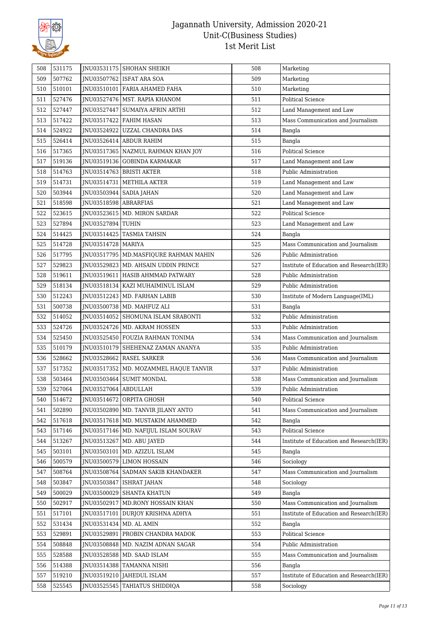

| 508 | 531175 |                       | JNU03531175 SHOHAN SHEIKH               | 508 | Marketing                                |
|-----|--------|-----------------------|-----------------------------------------|-----|------------------------------------------|
| 509 | 507762 |                       | JNU03507762 ISFAT ARA SOA               | 509 | Marketing                                |
| 510 | 510101 |                       | JNU03510101   FARIA AHAMED FAHA         | 510 | Marketing                                |
| 511 | 527476 |                       | JNU03527476   MST. RAPIA KHANOM         | 511 | <b>Political Science</b>                 |
| 512 | 527447 | JNU03527447           | SUMAIYA AFRIN ARTHI                     | 512 | Land Management and Law                  |
| 513 | 517422 | JNU03517422           | <b>FAHIM HASAN</b>                      | 513 | Mass Communication and Journalism        |
| 514 | 524922 | JNU03524922           | UZZAL CHANDRA DAS                       | 514 | Bangla                                   |
| 515 | 526414 |                       | JNU03526414 ABDUR RAHIM                 | 515 | Bangla                                   |
| 516 | 517365 |                       | JNU03517365   NAZMUL RAHMAN KHAN JOY    | 516 | <b>Political Science</b>                 |
| 517 | 519136 |                       | JNU03519136 GOBINDA KARMAKAR            | 517 | Land Management and Law                  |
| 518 | 514763 |                       | JNU03514763   BRISTI AKTER              | 518 | Public Administration                    |
| 519 | 514731 |                       | JNU03514731   METHILA AKTER             | 519 | Land Management and Law                  |
| 520 | 503944 | JNU03503944           | <b>SADIA JAHAN</b>                      | 520 | Land Management and Law                  |
| 521 | 518598 | JNU03518598 ABRARFIAS |                                         | 521 | Land Management and Law                  |
| 522 | 523615 |                       | JNU03523615   MD. MIRON SARDAR          | 522 | <b>Political Science</b>                 |
| 523 | 527894 | JNU03527894 TUHIN     |                                         | 523 | Land Management and Law                  |
| 524 | 514425 | JNU03514425           | <b>TASMIA TAHSIN</b>                    | 524 | Bangla                                   |
| 525 | 514728 | JNU03514728   MARIYA  |                                         | 525 | Mass Communication and Journalism        |
| 526 | 517795 |                       | JNU03517795   MD.MASFIQURE RAHMAN MAHIN | 526 | Public Administration                    |
| 527 | 529823 |                       | JNU03529823   MD. AHSAIN UDDIN PRINCE   | 527 | Institute of Education and Research(IER) |
| 528 | 519611 |                       | INU03519611   HASIB AHMMAD PATWARY      | 528 | Public Administration                    |
| 529 | 518134 |                       | JNU03518134   KAZI MUHAIMINUL ISLAM     | 529 | Public Administration                    |
| 530 | 512243 |                       |                                         | 530 |                                          |
|     |        |                       | JNU03512243   MD. FARHAN LABIB          | 531 | Institute of Modern Language(IML)        |
| 531 | 500738 |                       | JNU03500738   MD. MAHFUZ ALI            |     | Bangla                                   |
| 532 | 514052 |                       | JNU03514052 SHOMUNA ISLAM SRABONTI      | 532 | Public Administration                    |
| 533 | 524726 |                       | JNU03524726   MD. AKRAM HOSSEN          | 533 | Public Administration                    |
| 534 | 525450 |                       | JNU03525450 FOUZIA RAHMAN TONIMA        | 534 | Mass Communication and Journalism        |
| 535 | 510179 |                       | JNU03510179 SHEHENAZ ZAMAN ANANYA       | 535 | Public Administration                    |
| 536 | 528662 | JNU03528662           | <b>RASEL SARKER</b>                     | 536 | Mass Communication and Journalism        |
| 537 | 517352 | JNU03517352           | MD. MOZAMMEL HAQUE TANVIR               | 537 | Public Administration                    |
| 538 | 503464 | JNU03503464           | <b>SUMIT MONDAL</b>                     | 538 | Mass Communication and Journalism        |
| 539 | 527064 | JNU03527064 ABDULLAH  |                                         | 539 | Public Administration                    |
| 540 | 514672 |                       | JNU03514672 ORPITA GHOSH                | 540 | <b>Political Science</b>                 |
| 541 | 502890 |                       | JNU03502890   MD. TANVIR JILANY ANTO    | 541 | Mass Communication and Journalism        |
| 542 | 517618 |                       | JNU03517618   MD. MUSTAKIM AHAMMED      | 542 | Bangla                                   |
| 543 | 517146 |                       | JNU03517146   MD. NAFIJUL ISLAM SOURAV  | 543 | Political Science                        |
| 544 | 513267 | INU03513267           | MD. ABU JAYED                           | 544 | Institute of Education and Research(IER) |
| 545 | 503101 | JNU03503101           | MD. AZIZUL ISLAM                        | 545 | Bangla                                   |
| 546 | 500579 | JNU03500579           | <b>LIMON HOSSAIN</b>                    | 546 | Sociology                                |
| 547 | 508764 |                       | INU03508764 SADMAN SAKIB KHANDAKER      | 547 | Mass Communication and Journalism        |
| 548 | 503847 | INU03503847           | <b>ISHRAT JAHAN</b>                     | 548 | Sociology                                |
| 549 | 500029 | JNU03500029           | <b>SHANTA KHATUN</b>                    | 549 | Bangla                                   |
| 550 | 502917 |                       | JNU03502917   MD.RONY HOSSAIN KHAN      | 550 | Mass Communication and Journalism        |
| 551 | 517101 | JNU03517101           | DURJOY KRISHNA ADHYA                    | 551 | Institute of Education and Research(IER) |
| 552 | 531434 | JNU03531434           | MD. AL AMIN                             | 552 | Bangla                                   |
| 553 | 529891 | JNU03529891           | PROBIN CHANDRA MADOK                    | 553 | Political Science                        |
| 554 | 508848 | JNU03508848           | MD. NAZIM ADNAN SAGAR                   | 554 | Public Administration                    |
| 555 | 528588 | JNU03528588           | MD. SAAD ISLAM                          | 555 | Mass Communication and Journalism        |
| 556 | 514388 | JNU03514388           | TAMANNA NISHI                           | 556 | Bangla                                   |
| 557 | 519210 | JNU03519210           | JAHEDUL ISLAM                           | 557 | Institute of Education and Research(IER) |
| 558 | 525545 | JNU03525545           | TAHIATUS SHIDDIQA                       | 558 | Sociology                                |
|     |        |                       |                                         |     |                                          |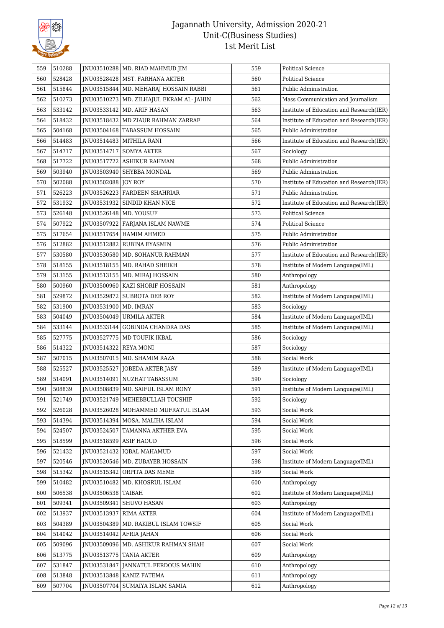

| 559 | 510288 |                          | JNU03510288   MD. RIAD MAHMUD JIM         | 559 | <b>Political Science</b>                 |
|-----|--------|--------------------------|-------------------------------------------|-----|------------------------------------------|
| 560 | 528428 |                          | JNU03528428   MST. FARHANA AKTER          | 560 | <b>Political Science</b>                 |
| 561 | 515844 |                          | JNU03515844   MD. MEHARAJ HOSSAIN RABBI   | 561 | Public Administration                    |
| 562 | 510273 |                          | JNU03510273   MD. ZILHAJUL EKRAM AL-JAHIN | 562 | Mass Communication and Journalism        |
| 563 | 533142 | JNU03533142              | MD. ARIF HASAN                            | 563 | Institute of Education and Research(IER) |
| 564 | 518432 |                          | JNU03518432   MD ZIAUR RAHMAN ZARRAF      | 564 | Institute of Education and Research(IER) |
| 565 | 504168 | JNU03504168              | <b>TABASSUM HOSSAIN</b>                   | 565 | Public Administration                    |
| 566 | 514483 | INU03514483              | <b>MITHILA RANI</b>                       | 566 | Institute of Education and Research(IER) |
| 567 | 514717 |                          | JNU03514717   SOMYA AKTER                 | 567 | Sociology                                |
| 568 | 517722 | JNU03517722              | ASHIKUR RAHMAN                            | 568 | Public Administration                    |
| 569 | 503940 | JNU03503940              | SHYBBA MONDAL                             | 569 | Public Administration                    |
| 570 | 502088 | JNU03502088 JOY ROY      |                                           | 570 | Institute of Education and Research(IER) |
| 571 | 526223 |                          | JNU03526223 FARDEEN SHAHRIAR              | 571 | Public Administration                    |
| 572 | 531932 | JNU03531932              | SINDID KHAN NICE                          | 572 | Institute of Education and Research(IER) |
| 573 | 526148 | JNU03526148   MD. YOUSUF |                                           | 573 | <b>Political Science</b>                 |
| 574 | 507922 | JNU03507922              | FARJANA ISLAM NAWME                       | 574 | <b>Political Science</b>                 |
| 575 | 517654 |                          | JNU03517654   HAMIM AHMED                 | 575 | Public Administration                    |
| 576 | 512882 | INU03512882              | RUBINA EYASMIN                            | 576 | Public Administration                    |
| 577 | 530580 | JNU03530580              | MD. SOHANUR RAHMAN                        | 577 | Institute of Education and Research(IER) |
| 578 | 518155 |                          | JNU03518155   MD. RAHAD SHEIKH            | 578 | Institute of Modern Language(IML)        |
| 579 | 513155 |                          | JNU03513155   MD. MIRAJ HOSSAIN           | 580 | Anthropology                             |
| 580 | 500960 | JNU03500960              | KAZI SHORIF HOSSAIN                       | 581 | Anthropology                             |
| 581 | 529872 | JNU03529872              | <b>SUBROTA DEB ROY</b>                    | 582 | Institute of Modern Language(IML)        |
| 582 | 531900 | JNU03531900              | MD. IMRAN                                 | 583 | Sociology                                |
| 583 | 504049 | JNU03504049              | URMILA AKTER                              | 584 | Institute of Modern Language(IML)        |
| 584 | 533144 | JNU03533144              | <b>GOBINDA CHANDRA DAS</b>                | 585 | Institute of Modern Language(IML)        |
| 585 | 527775 | JNU03527775              | MD TOUFIK IKBAL                           | 586 | Sociology                                |
| 586 | 514322 | JNU03514322 REYA MONI    |                                           | 587 | Sociology                                |
| 587 | 507015 |                          | JNU03507015   MD. SHAMIM RAZA             | 588 | Social Work                              |
| 588 | 525527 | JNU03525527              | <b>JOBEDA AKTER JASY</b>                  | 589 | Institute of Modern Language(IML)        |
| 589 | 514091 |                          | JNU03514091 NUZHAT TABASSUM               | 590 | Sociology                                |
| 590 | 508839 | JNU03508839              | MD. SAIFUL ISLAM RONY                     | 591 | Institute of Modern Language(IML)        |
| 591 | 521749 |                          | JNU03521749 MEHEBBULLAH TOUSHIF           | 592 | Sociology                                |
| 592 | 526028 | JNU03526028              | MOHAMMED MUFRATUL ISLAM                   | 593 | Social Work                              |
| 593 | 514394 |                          | JNU03514394   MOSA. MALIHA ISLAM          | 594 | Social Work                              |
| 594 | 524507 | JNU03524507              | TAMANNA AKTHER EVA                        | 595 | Social Work                              |
| 595 | 518599 | JNU03518599              | <b>ASIF HAOUD</b>                         | 596 | Social Work                              |
| 596 | 521432 | JNU03521432              | <b>IQBAL MAHAMUD</b>                      | 597 | Social Work                              |
| 597 | 520546 | JNU03520546              | MD. ZUBAYER HOSSAIN                       | 598 | Institute of Modern Language(IML)        |
| 598 | 515342 | JNU03515342              | ORPITA DAS MEME                           | 599 | Social Work                              |
| 599 | 510482 | JNU03510482              | MD. KHOSRUL ISLAM                         | 600 | Anthropology                             |
| 600 | 506538 | INU03506538              | <b>TAIBAH</b>                             | 602 | Institute of Modern Language(IML)        |
| 601 | 509341 | JNU03509341              | SHUVO HASAN                               | 603 | Anthropology                             |
| 602 | 513937 | JNU03513937              | <b>RIMA AKTER</b>                         | 604 | Institute of Modern Language(IML)        |
| 603 | 504389 | JNU03504389              | MD. RAKIBUL ISLAM TOWSIF                  | 605 | Social Work                              |
| 604 | 514042 | JNU03514042              | AFRIA JAHAN                               | 606 | Social Work                              |
| 605 | 509096 | JNU03509096              | MD. ASHIKUR RAHMAN SHAH                   | 607 | Social Work                              |
| 606 | 513775 | JNU03513775              | <b>TANIA AKTER</b>                        | 609 | Anthropology                             |
| 607 | 531847 | JNU03531847              | JANNATUL FERDOUS MAHIN                    | 610 | Anthropology                             |
| 608 | 513848 | JNU03513848              | KANIZ FATEMA                              | 611 | Anthropology                             |
| 609 | 507704 | JNU03507704              | SUMAIYA ISLAM SAMIA                       | 612 | Anthropology                             |
|     |        |                          |                                           |     |                                          |